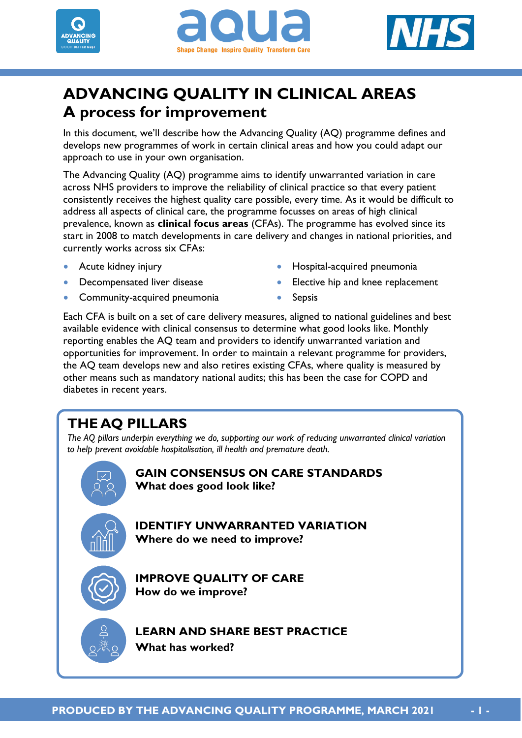





# **ADVANCING QUALITY IN CLINICAL AREAS A process for improvement**

In this document, we'll describe how the Advancing Quality (AQ) programme defines and develops new programmes of work in certain clinical areas and how you could adapt our approach to use in your own organisation.

The Advancing Quality (AQ) programme aims to identify unwarranted variation in care across NHS providers to improve the reliability of clinical practice so that every patient consistently receives the highest quality care possible, every time. As it would be difficult to address all aspects of clinical care, the programme focusses on areas of high clinical prevalence, known as **clinical focus areas** (CFAs). The programme has evolved since its start in 2008 to match developments in care delivery and changes in national priorities, and currently works across six CFAs:

- Acute kidney injury
- **•** Decompensated liver disease
- Community-acquired pneumonia
- Hospital-acquired pneumonia
- Elective hip and knee replacement
- Sepsis

Each CFA is built on a set of care delivery measures, aligned to national guidelines and best available evidence with clinical consensus to determine what good looks like. Monthly reporting enables the AQ team and providers to identify unwarranted variation and opportunities for improvement. In order to maintain a relevant programme for providers, the AQ team develops new and also retires existing CFAs, where quality is measured by other means such as mandatory national audits; this has been the case for COPD and diabetes in recent years.

# **THE AQ PILLARS**

 $\overline{a}$ 

*The AQ pillars underpin everything we do, supporting our work of reducing unwarranted clinical variation to help prevent avoidable hospitalisation, ill health and premature death.* 

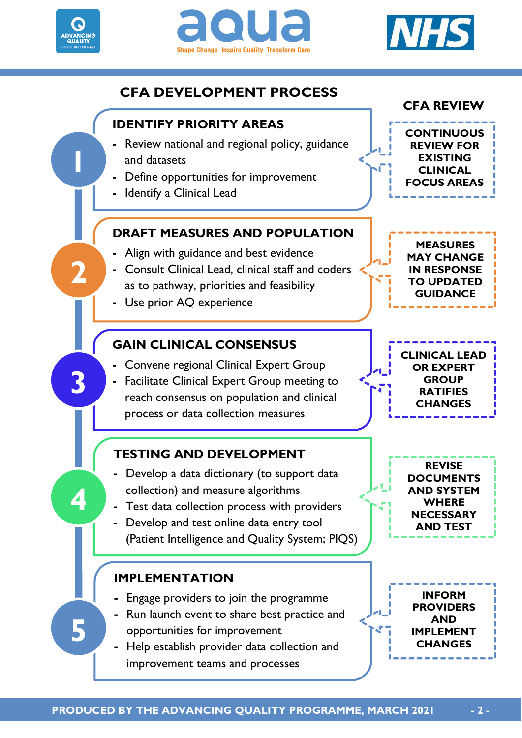





**EXISTING CLINICAL** 

**MEASURES** 

**GUIDANCE**

**GROUP RATIFIES CHANGES**

**REVISE** 

**WHERE** 

**AND TEST**

**INFORM PROVIDERS AND** 

**CHANGES**

# **CFA DEVELOPMENT PROCESS**



**-** Help establish provider data collection and improvement teams and processes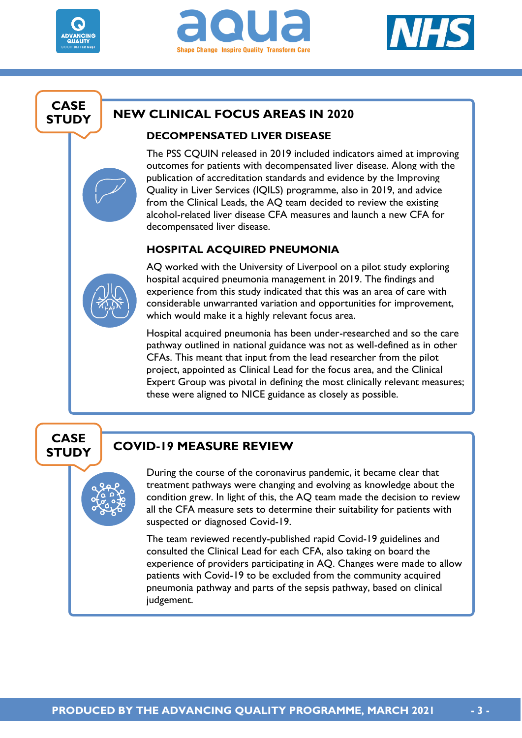





## **CASE STUDY**

## **NEW CLINICAL FOCUS AREAS IN 2020**

### **DECOMPENSATED LIVER DISEASE**

The PSS CQUIN released in 2019 included indicators aimed at improving outcomes for patients with decompensated liver disease. Along with the publication of accreditation standards and evidence by the Improving Quality in Liver Services (IQILS) programme, also in 2019, and advice from the Clinical Leads, the AQ team decided to review the existing alcohol-related liver disease CFA measures and launch a new CFA for decompensated liver disease.

### **HOSPITAL ACQUIRED PNEUMONIA**



AQ worked with the University of Liverpool on a pilot study exploring hospital acquired pneumonia management in 2019. The findings and experience from this study indicated that this was an area of care with considerable unwarranted variation and opportunities for improvement, which would make it a highly relevant focus area.

Hospital acquired pneumonia has been under-researched and so the care pathway outlined in national guidance was not as well-defined as in other CFAs. This meant that input from the lead researcher from the pilot project, appointed as Clinical Lead for the focus area, and the Clinical Expert Group was pivotal in defining the most clinically relevant measures; these were aligned to NICE guidance as closely as possible.

## **CASE STUDY**

## **COVID-19 MEASURE REVIEW**

During the course of the coronavirus pandemic, it became clear that treatment pathways were changing and evolving as knowledge about the condition grew. In light of this, the AQ team made the decision to review all the CFA measure sets to determine their suitability for patients with suspected or diagnosed Covid-19.

The team reviewed recently-published rapid Covid-19 guidelines and consulted the Clinical Lead for each CFA, also taking on board the experience of providers participating in AQ. Changes were made to allow patients with Covid-19 to be excluded from the community acquired pneumonia pathway and parts of the sepsis pathway, based on clinical judgement.